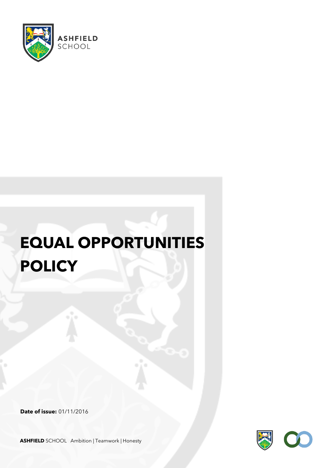

# **EQUAL OPPORTUNITIES POLICY**

**Date of issue:** 01/11/2016



**ASHFIELD** SCHOOL Ambition | Teamwork | Honesty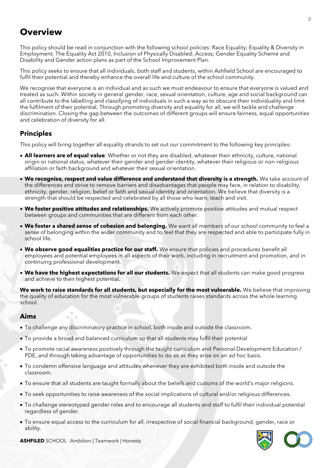# **Overview**

This policy should be read in conjunction with the following school policies: Race Equality; Equality & Diversity in Employment; The Equality Act 2010, Inclusion of Physically Disabled; Access; Gender Equality Scheme and Disability and Gender action plans as part of the School Improvement Plan.

This policy seeks to ensure that all individuals, both staff and students, within Ashfield School are encouraged to fulfil their potential and thereby enhance the overall life and culture of the school community.

We recognise that everyone is an individual and as such we must endeavour to ensure that everyone is valued and treated as such. Within society in general gender, race, sexual orientation, culture, age and social background can all contribute to the labelling and classifying of individuals in such a way as to obscure their individuality and limit the fulfilment of their potential. Through promoting diversity and equality for all, we will tackle and challenge discrimination. Closing the gap between the outcomes of different groups will ensure fairness, equal opportunities and celebration of diversity for all.

# **Principles**

This policy will bring together all equality strands to set out our commitment to the following key principles:

- **All learners are of equal value**. Whether or not they are disabled, whatever their ethnicity, culture, national origin or national status, whatever their gender and gender identity, whatever their religious or non-religious affiliation or faith background and whatever their sexual orientation.
- **We recognise, respect and value difference and understand that diversity is a strength.** We take account of the differences and strive to remove barriers and disadvantages that people may face, in relation to disability, ethnicity, gender, religion, belief or faith and sexual identity and orientation. We believe that diversity is a strength that should be respected and celebrated by all those who learn, teach and visit.
- **We foster positive attitudes and relationships.** We actively promote positive attitudes and mutual respect between groups and communities that are different from each other.
- **We foster a shared sense of cohesion and belonging.** We want all members of our school community to feel a sense of belonging within the wider community and to feel that they are respected and able to participate fully in school life.
- **We observe good equalities practice for our staff.** We ensure that policies and procedures benefit all employees and potential employees in all aspects of their work, including in recruitment and promotion, and in continuing professional development.
- **We have the highest expectations for all our students.** We expect that all students can make good progress and achieve to their highest potential.

**We work to raise standards for all students, but especially for the most vulnerable.** We believe that improving the quality of education for the most vulnerable groups of students raises standards across the whole learning school.

# **Aims**

- To challenge any discriminatory practice in school, both inside and outside the classroom.
- To provide a broad and balanced curriculum so that all students may fulfil their potential
- To promote racial awareness positively through the taught curriculum and Personal Development Education / PDE, and through taking advantage of opportunities to do so as they arise on an *ad hoc* basis.
- To condemn offensive language and attitudes whenever they are exhibited both inside and outside the classroom.
- To ensure that all students are taught formally about the beliefs and customs of the world's major religions.
- To seek opportunities to raise awareness of the social implications of cultural and/or religious differences.
- To challenge stereotyped gender roles and to encourage all students and staff to fulfil their individual potential regardless of gender.
- To ensure equal access to the curriculum for all, irrespective of social financial background, gender, race or ability.



**ASHFILED** SCHOOL Ambition | Teamwork | Honesty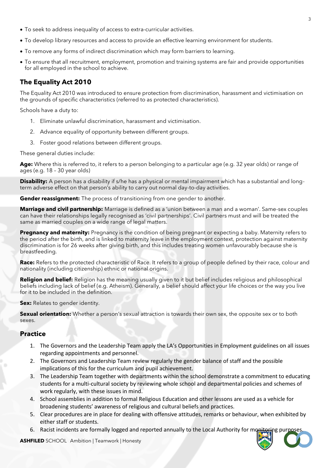- To seek to address inequality of access to extra-curricular activities.
- To develop library resources and access to provide an effective learning environment for students.
- To remove any forms of indirect discrimination which may form barriers to learning.
- To ensure that all recruitment, employment, promotion and training systems are fair and provide opportunities for all employed in the school to achieve.

# **The Equality Act 2010**

The Equality Act 2010 was introduced to ensure protection from discrimination, harassment and victimisation on the grounds of specific characteristics (referred to as protected characteristics).

Schools have a duty to:

- 1. Eliminate unlawful discrimination, harassment and victimisation.
- 2. Advance equality of opportunity between different groups.
- 3. Foster good relations between different groups.

These general duties include:

**Age:** Where this is referred to, it refers to a person belonging to a particular age (e.g. 32 year olds) or range of ages (e.g. 18 – 30 year olds)

**Disability:** A person has a disability if s/he has a physical or mental impairment which has a substantial and longterm adverse effect on that person's ability to carry out normal day-to-day activities.

**Gender reassignment:** The process of transitioning from one gender to another.

**Marriage and civil partnership:** Marriage is defined as a 'union between a man and a woman'. Same-sex couples can have their relationships legally recognised as 'civil partnerships'. Civil partners must and will be treated the same as married couples on a wide range of legal matters.

**Pregnancy and maternity:** Pregnancy is the condition of being pregnant or expecting a baby. Maternity refers to the period after the birth, and is linked to maternity leave in the employment context, protection against maternity discrimination is for 26 weeks after giving birth, and this includes treating women unfavourably because she is breastfeeding.

**Race:** Refers to the protected characteristic of Race. It refers to a group of people defined by their race, colour and nationality (including citizenship) ethnic or national origins.

**Religion and belief:** Religion has the meaning usually given to it but belief includes religious and philosophical beliefs including lack of belief (e.g. Atheism). Generally, a belief should affect your life choices or the way you live for it to be included in the definition.

**Sex:** Relates to gender identity.

**Sexual orientation:** Whether a person's sexual attraction is towards their own sex, the opposite sex or to both sexes.

#### **Practice**

- 1. The Governors and the Leadership Team apply the LA's Opportunities in Employment guidelines on all issues regarding appointments and personnel.
- 2. The Governors and Leadership Team review regularly the gender balance of staff and the possible implications of this for the curriculum and pupil achievement.
- 3. The Leadership Team together with departments within the school demonstrate a commitment to educating students for a multi-cultural society by reviewing whole school and departmental policies and schemes of work regularly, with these issues in mind.
- 4. School assemblies in addition to formal Religious Education and other lessons are used as a vehicle for broadening students' awareness of religious and cultural beliefs and practices.
- 5. Clear procedures are in place for dealing with offensive attitudes, remarks or behaviour, when exhibited by either staff or students.
- 6. Racist incidents are formally logged and reported annually to the Local Authority for mon

**ASHFILED** SCHOOL Ambition | Teamwork | Honesty

3

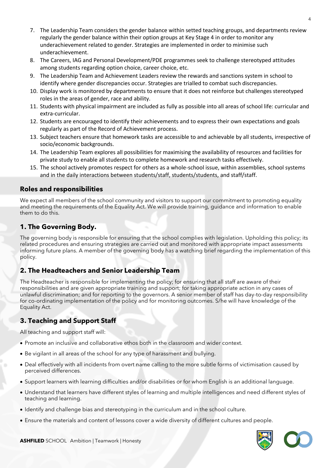- 7. The Leadership Team considers the gender balance within setted teaching groups, and departments review regularly the gender balance within their option groups at Key Stage 4 in order to monitor any underachievement related to gender. Strategies are implemented in order to minimise such underachievement.
- 8. The Careers, IAG and Personal Development/PDE programmes seek to challenge stereotyped attitudes among students regarding option choice, career choice, etc.
- 9. The Leadership Team and Achievement Leaders review the rewards and sanctions system in school to identify where gender discrepancies occur. Strategies are trialled to combat such discrepancies.
- 10. Display work is monitored by departments to ensure that it does not reinforce but challenges stereotyped roles in the areas of gender, race and ability.
- 11. Students with physical impairment are included as fully as possible into all areas of school life: curricular and extra-curricular.
- 12. Students are encouraged to identify their achievements and to express their own expectations and goals regularly as part of the Record of Achievement process.
- 13. Subject teachers ensure that homework tasks are accessible to and achievable by all students, irrespective of socio/economic backgrounds.
- 14. The Leadership Team explores all possibilities for maximising the availability of resources and facilities for private study to enable all students to complete homework and research tasks effectively.
- 15. The school actively promotes respect for others as a whole-school issue, within assemblies, school systems and in the daily interactions between students/staff, students/students, and staff/staff.

#### **Roles and responsibilities**

We expect all members of the school community and visitors to support our commitment to promoting equality and meeting the requirements of the Equality Act. We will provide training, guidance and information to enable them to do this.

### **1. The Governing Body.**

The governing body is responsible for ensuring that the school complies with legislation. Upholding this policy; its related procedures and ensuring strategies are carried out and monitored with appropriate impact assessments informing future plans. A member of the governing body has a watching brief regarding the implementation of this policy.

# **2. The Headteachers and Senior Leadership Team**

The Headteacher is responsible for implementing the policy; for ensuring that all staff are aware of their responsibilities and are given appropriate training and support; for taking appropriate action in any cases of unlawful discrimination; and for reporting to the governors. A senior member of staff has day-to-day responsibility for co-ordinating implementation of the policy and for monitoring outcomes. S/he will have knowledge of the Equality Act.

# **3. Teaching and Support Staff**

All teaching and support staff will:

- Promote an inclusive and collaborative ethos both in the classroom and wider context.
- Be vigilant in all areas of the school for any type of harassment and bullying.
- Deal effectively with all incidents from overt name calling to the more subtle forms of victimisation caused by perceived differences.
- Support learners with learning difficulties and/or disabilities or for whom English is an additional language.
- Understand that learners have different styles of learning and multiple intelligences and need different styles of teaching and learning.
- Identify and challenge bias and stereotyping in the curriculum and in the school culture.
- Ensure the materials and content of lessons cover a wide diversity of different cultures and people.